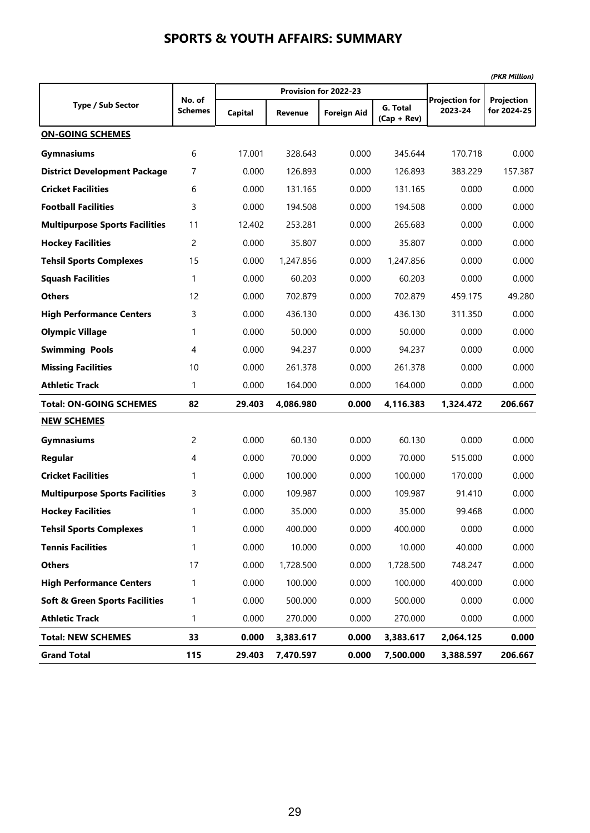|                                           |                          |         |                |                       |                           |                                  | (PKR Million)             |
|-------------------------------------------|--------------------------|---------|----------------|-----------------------|---------------------------|----------------------------------|---------------------------|
|                                           |                          |         |                | Provision for 2022-23 |                           |                                  |                           |
| <b>Type / Sub Sector</b>                  | No. of<br><b>Schemes</b> | Capital | <b>Revenue</b> | <b>Foreign Aid</b>    | G. Total<br>$(Cap + Rev)$ | <b>Projection for</b><br>2023-24 | Projection<br>for 2024-25 |
| <b>ON-GOING SCHEMES</b>                   |                          |         |                |                       |                           |                                  |                           |
| <b>Gymnasiums</b>                         | 6                        | 17.001  | 328.643        | 0.000                 | 345.644                   | 170.718                          | 0.000                     |
| <b>District Development Package</b>       | 7                        | 0.000   | 126.893        | 0.000                 | 126.893                   | 383.229                          | 157.387                   |
| <b>Cricket Facilities</b>                 | 6                        | 0.000   | 131.165        | 0.000                 | 131.165                   | 0.000                            | 0.000                     |
| <b>Football Facilities</b>                | 3                        | 0.000   | 194.508        | 0.000                 | 194.508                   | 0.000                            | 0.000                     |
| <b>Multipurpose Sports Facilities</b>     | 11                       | 12.402  | 253.281        | 0.000                 | 265.683                   | 0.000                            | 0.000                     |
| <b>Hockey Facilities</b>                  | 2                        | 0.000   | 35.807         | 0.000                 | 35.807                    | 0.000                            | 0.000                     |
| <b>Tehsil Sports Complexes</b>            | 15                       | 0.000   | 1,247.856      | 0.000                 | 1,247.856                 | 0.000                            | 0.000                     |
| <b>Squash Facilities</b>                  | 1                        | 0.000   | 60.203         | 0.000                 | 60.203                    | 0.000                            | 0.000                     |
| <b>Others</b>                             | 12                       | 0.000   | 702.879        | 0.000                 | 702.879                   | 459.175                          | 49.280                    |
| <b>High Performance Centers</b>           | 3                        | 0.000   | 436.130        | 0.000                 | 436.130                   | 311.350                          | 0.000                     |
| <b>Olympic Village</b>                    | 1                        | 0.000   | 50.000         | 0.000                 | 50.000                    | 0.000                            | 0.000                     |
| <b>Swimming Pools</b>                     | 4                        | 0.000   | 94.237         | 0.000                 | 94.237                    | 0.000                            | 0.000                     |
| <b>Missing Facilities</b>                 | 10                       | 0.000   | 261.378        | 0.000                 | 261.378                   | 0.000                            | 0.000                     |
| <b>Athletic Track</b>                     | 1                        | 0.000   | 164.000        | 0.000                 | 164.000                   | 0.000                            | 0.000                     |
| <b>Total: ON-GOING SCHEMES</b>            | 82                       | 29.403  | 4,086.980      | 0.000                 | 4,116.383                 | 1,324.472                        | 206.667                   |
| <b>NEW SCHEMES</b>                        |                          |         |                |                       |                           |                                  |                           |
| <b>Gymnasiums</b>                         | $\overline{c}$           | 0.000   | 60.130         | 0.000                 | 60.130                    | 0.000                            | 0.000                     |
| Regular                                   | 4                        | 0.000   | 70.000         | 0.000                 | 70.000                    | 515.000                          | 0.000                     |
| <b>Cricket Facilities</b>                 | 1                        | 0.000   | 100.000        | 0.000                 | 100.000                   | 170.000                          | 0.000                     |
| <b>Multipurpose Sports Facilities</b>     | 3                        | 0.000   | 109.987        | 0.000                 | 109.987                   | 91.410                           | 0.000                     |
| <b>Hockey Facilities</b>                  | 1                        | 0.000   | 35.000         | 0.000                 | 35.000                    | 99.468                           | 0.000                     |
| <b>Tehsil Sports Complexes</b>            | 1                        | 0.000   | 400.000        | 0.000                 | 400.000                   | 0.000                            | 0.000                     |
| <b>Tennis Facilities</b>                  | 1                        | 0.000   | 10.000         | 0.000                 | 10.000                    | 40.000                           | 0.000                     |
| <b>Others</b>                             | 17                       | 0.000   | 1,728.500      | 0.000                 | 1,728.500                 | 748.247                          | 0.000                     |
| <b>High Performance Centers</b>           | 1                        | 0.000   | 100.000        | 0.000                 | 100.000                   | 400.000                          | 0.000                     |
| <b>Soft &amp; Green Sports Facilities</b> | 1                        | 0.000   | 500.000        | 0.000                 | 500.000                   | 0.000                            | 0.000                     |
| <b>Athletic Track</b>                     | 1                        | 0.000   | 270.000        | 0.000                 | 270.000                   | 0.000                            | 0.000                     |
| <b>Total: NEW SCHEMES</b>                 | 33                       | 0.000   | 3,383.617      | 0.000                 | 3,383.617                 | 2,064.125                        | 0.000                     |
| <b>Grand Total</b>                        | 115                      | 29.403  | 7,470.597      | 0.000                 | 7,500.000                 | 3,388.597                        | 206.667                   |

#### **SPORTS & YOUTH AFFAIRS: SUMMARY**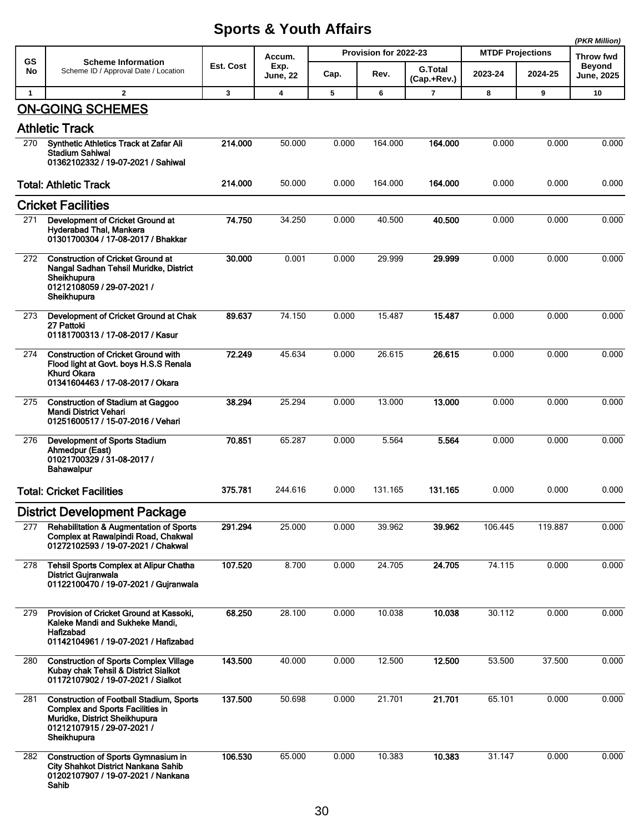|                 |                                                                                                                                                                          |           |                                   |       |                               |                          |                                    |         | (PKR Million)                                   |
|-----------------|--------------------------------------------------------------------------------------------------------------------------------------------------------------------------|-----------|-----------------------------------|-------|-------------------------------|--------------------------|------------------------------------|---------|-------------------------------------------------|
| <b>GS</b><br>No | <b>Scheme Information</b><br>Scheme ID / Approval Date / Location                                                                                                        | Est. Cost | Accum.<br>Exp.<br><b>June, 22</b> | Cap.  | Provision for 2022-23<br>Rev. | G.Total<br>(Cap.+Rev.)   | <b>MTDF Projections</b><br>2023-24 | 2024-25 | Throw fwd<br><b>Beyond</b><br><b>June, 2025</b> |
| $\mathbf{1}$    | $\overline{2}$                                                                                                                                                           | 3         | 4                                 | 5     | 6                             | $\overline{\phantom{a}}$ | 8                                  | 9       | 10                                              |
|                 | <b>ON-GOING SCHEMES</b>                                                                                                                                                  |           |                                   |       |                               |                          |                                    |         |                                                 |
|                 | <b>Athletic Track</b>                                                                                                                                                    |           |                                   |       |                               |                          |                                    |         |                                                 |
| 270             | Synthetic Athletics Track at Zafar Ali<br><b>Stadium Sahiwal</b><br>01362102332 / 19-07-2021 / Sahiwal                                                                   | 214.000   | 50.000                            | 0.000 | 164.000                       | 164.000                  | 0.000                              | 0.000   | 0.000                                           |
|                 | <b>Total: Athletic Track</b>                                                                                                                                             | 214.000   | 50.000                            | 0.000 | 164.000                       | 164.000                  | 0.000                              | 0.000   | 0.000                                           |
|                 | <b>Cricket Facilities</b>                                                                                                                                                |           |                                   |       |                               |                          |                                    |         |                                                 |
| 271             | Development of Cricket Ground at<br>Hyderabad Thal, Mankera<br>01301700304 / 17-08-2017 / Bhakkar                                                                        | 74.750    | 34.250                            | 0.000 | 40.500                        | 40.500                   | 0.000                              | 0.000   | 0.000                                           |
| 272             | <b>Construction of Cricket Ground at</b><br>Nangal Sadhan Tehsil Muridke, District<br>Sheikhupura<br>01212108059 / 29-07-2021 /<br>Sheikhupura                           | 30.000    | 0.001                             | 0.000 | 29.999                        | 29.999                   | 0.000                              | 0.000   | 0.000                                           |
| 273             | Development of Cricket Ground at Chak<br>27 Pattoki<br>01181700313 / 17-08-2017 / Kasur                                                                                  | 89.637    | 74.150                            | 0.000 | 15.487                        | 15.487                   | 0.000                              | 0.000   | 0.000                                           |
| 274             | <b>Construction of Cricket Ground with</b><br>Flood light at Govt. boys H.S.S Renala<br>Khurd Okara<br>01341604463 / 17-08-2017 / Okara                                  | 72.249    | 45.634                            | 0.000 | 26.615                        | 26.615                   | 0.000                              | 0.000   | 0.000                                           |
| 275             | <b>Construction of Stadium at Gaggoo</b><br>Mandi District Vehari<br>01251600517 / 15-07-2016 / Vehari                                                                   | 38.294    | 25.294                            | 0.000 | 13.000                        | 13.000                   | 0.000                              | 0.000   | 0.000                                           |
| 276             | Development of Sports Stadium<br>Ahmedpur (East)<br>01021700329 / 31-08-2017 /<br><b>Bahawalpur</b>                                                                      | 70.851    | 65.287                            | 0.000 | 5.564                         | 5.564                    | 0.000                              | 0.000   | 0.000                                           |
|                 | <b>Total: Cricket Facilities</b>                                                                                                                                         | 375.781   | 244.616                           | 0.000 | 131.165                       | 131.165                  | 0.000                              | 0.000   | 0.000                                           |
|                 | <b>District Development Package</b>                                                                                                                                      |           |                                   |       |                               |                          |                                    |         |                                                 |
| 277             | <b>Rehabilitation &amp; Augmentation of Sports</b><br>Complex at Rawalpindi Road, Chakwal<br>01272102593 / 19-07-2021 / Chakwal                                          | 291.294   | 25.000                            | 0.000 | 39.962                        | 39.962                   | 106.445                            | 119.887 | 0.000                                           |
| 278             | Tehsil Sports Complex at Alipur Chatha<br><b>District Gujranwala</b><br>01122100470 / 19-07-2021 / Gujranwala                                                            | 107.520   | 8.700                             | 0.000 | 24.705                        | 24.705                   | 74.115                             | 0.000   | 0.000                                           |
| 279             | Provision of Cricket Ground at Kassoki,<br>Kaleke Mandi and Sukheke Mandi,<br>Hafizabad<br>01142104961 / 19-07-2021 / Hafizabad                                          | 68.250    | 28.100                            | 0.000 | 10.038                        | 10.038                   | 30.112                             | 0.000   | 0.000                                           |
| 280             | <b>Construction of Sports Complex Village</b><br>Kubay chak Tehsil & District Sialkot<br>01172107902 / 19-07-2021 / Sialkot                                              | 143.500   | 40.000                            | 0.000 | 12.500                        | 12.500                   | 53.500                             | 37.500  | 0.000                                           |
| 281             | <b>Construction of Football Stadium, Sports</b><br><b>Complex and Sports Facilities in</b><br>Muridke, District Sheikhupura<br>01212107915 / 29-07-2021 /<br>Sheikhupura | 137.500   | 50.698                            | 0.000 | 21.701                        | 21.701                   | 65.101                             | 0.000   | 0.000                                           |
| 282             | <b>Construction of Sports Gymnasium in</b><br>City Shahkot District Nankana Sahib<br>01202107907 / 19-07-2021 / Nankana<br>Sahib                                         | 106.530   | 65.000                            | 0.000 | 10.383                        | 10.383                   | 31.147                             | 0.000   | 0.000                                           |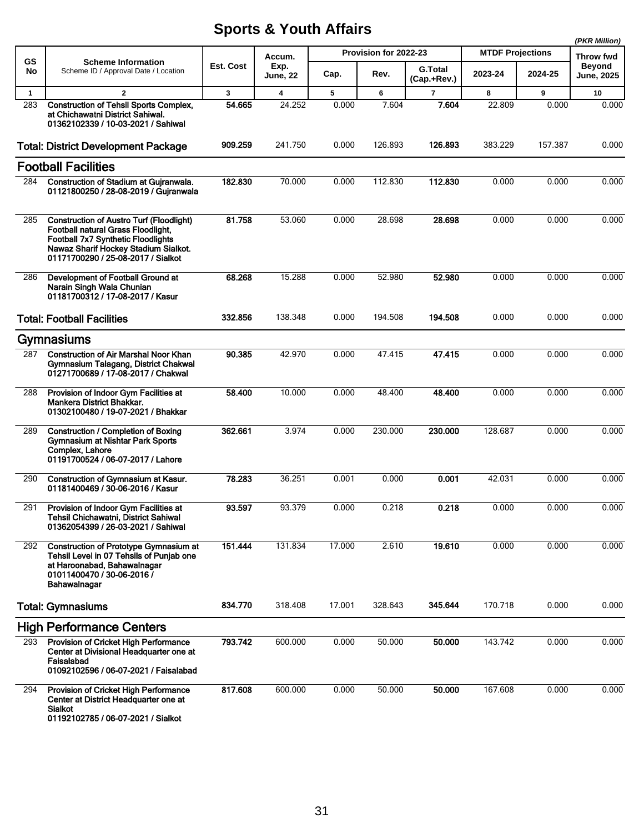|              |                                                                                                                                                                                                                         |           |                         |        |                       |                               |                         |         | (PKR Million)               |
|--------------|-------------------------------------------------------------------------------------------------------------------------------------------------------------------------------------------------------------------------|-----------|-------------------------|--------|-----------------------|-------------------------------|-------------------------|---------|-----------------------------|
| GS           | <b>Scheme Information</b>                                                                                                                                                                                               |           | Accum.                  |        | Provision for 2022-23 |                               | <b>MTDF Projections</b> |         | <b>Throw fwd</b>            |
| No           | Scheme ID / Approval Date / Location                                                                                                                                                                                    | Est. Cost | Exp.<br><b>June, 22</b> | Cap.   | Rev.                  | <b>G.Total</b><br>(Cap.+Rev.) | 2023-24                 | 2024-25 | Beyond<br><b>June, 2025</b> |
| $\mathbf{1}$ | $\mathbf{2}$                                                                                                                                                                                                            | 3         | 4                       | 5      | 6                     | 7                             | 8                       | 9       | 10                          |
| 283          | <b>Construction of Tehsil Sports Complex,</b><br>at Chichawatni District Sahiwal.<br>01362102339 / 10-03-2021 / Sahiwal                                                                                                 | 54.665    | 24.252                  | 0.000  | 7.604                 | 7.604                         | 22.809                  | 0.000   | 0.000                       |
|              | <b>Total: District Development Package</b>                                                                                                                                                                              | 909.259   | 241.750                 | 0.000  | 126.893               | 126.893                       | 383.229                 | 157.387 | 0.000                       |
|              | <b>Football Facilities</b>                                                                                                                                                                                              |           |                         |        |                       |                               |                         |         |                             |
| 284          | Construction of Stadium at Guiranwala.<br>01121800250 / 28-08-2019 / Gujranwala                                                                                                                                         | 182.830   | 70.000                  | 0.000  | 112.830               | 112.830                       | 0.000                   | 0.000   | 0.000                       |
| 285          | <b>Construction of Austro Turf (Floodlight)</b><br><b>Football natural Grass Floodlight,</b><br><b>Football 7x7 Synthetic Floodlights</b><br>Nawaz Sharif Hockey Stadium Sialkot.<br>01171700290 / 25-08-2017 / Sialkot | 81.758    | 53.060                  | 0.000  | 28.698                | 28.698                        | 0.000                   | 0.000   | 0.000                       |
| 286          | Development of Football Ground at<br>Narain Singh Wala Chunian<br>01181700312 / 17-08-2017 / Kasur                                                                                                                      | 68.268    | 15.288                  | 0.000  | 52.980                | 52.980                        | 0.000                   | 0.000   | 0.000                       |
|              | <b>Total: Football Facilities</b>                                                                                                                                                                                       | 332.856   | 138.348                 | 0.000  | 194.508               | 194.508                       | 0.000                   | 0.000   | 0.000                       |
|              | Gymnasiums                                                                                                                                                                                                              |           |                         |        |                       |                               |                         |         |                             |
| 287          | <b>Construction of Air Marshal Noor Khan</b><br>Gymnasium Talagang, District Chakwal<br>01271700689 / 17-08-2017 / Chakwal                                                                                              | 90.385    | 42.970                  | 0.000  | 47.415                | 47.415                        | 0.000                   | 0.000   | 0.000                       |
| 288          | Provision of Indoor Gym Facilities at<br>Mankera District Bhakkar.<br>01302100480 / 19-07-2021 / Bhakkar                                                                                                                | 58,400    | 10.000                  | 0.000  | 48.400                | 48.400                        | 0.000                   | 0.000   | 0.000                       |
| 289          | Construction / Completion of Boxing<br><b>Gymnasium at Nishtar Park Sports</b><br>Complex, Lahore<br>01191700524 / 06-07-2017 / Lahore                                                                                  | 362.661   | 3.974                   | 0.000  | 230.000               | 230.000                       | 128.687                 | 0.000   | 0.000                       |
| 290          | Construction of Gymnasium at Kasur.<br>01181400469 / 30-06-2016 / Kasur                                                                                                                                                 | 78.283    | 36.251                  | 0.001  | 0.000                 | 0.001                         | 42.031                  | 0.000   | 0.000                       |
| 291          | Provision of Indoor Gym Facilities at<br>Tehsil Chichawatni, District Sahiwal<br>01362054399 / 26-03-2021 / Sahiwal                                                                                                     | 93.597    | 93.379                  | 0.000  | 0.218                 | 0.218                         | 0.000                   | 0.000   | 0.000                       |
| 292          | <b>Construction of Prototype Gymnasium at</b><br>Tehsil Level in 07 Tehsils of Punjab one<br>at Haroonabad, Bahawalnagar<br>01011400470 / 30-06-2016 /<br>Bahawalnagar                                                  | 151.444   | 131.834                 | 17.000 | 2.610                 | 19.610                        | 0.000                   | 0.000   | 0.000                       |
|              | <b>Total: Gymnasiums</b>                                                                                                                                                                                                | 834.770   | 318.408                 | 17.001 | 328.643               | 345.644                       | 170.718                 | 0.000   | 0.000                       |
|              | <b>High Performance Centers</b>                                                                                                                                                                                         |           |                         |        |                       |                               |                         |         |                             |
| 293          | Provision of Cricket High Performance<br>Center at Divisional Headquarter one at<br>Faisalabad<br>01092102596 / 06-07-2021 / Faisalabad                                                                                 | 793.742   | 600.000                 | 0.000  | 50.000                | 50.000                        | 143.742                 | 0.000   | 0.000                       |
| 294          | <b>Provision of Cricket High Performance</b><br>Center at District Headquarter one at<br><b>Sialkot</b><br>01192102785 / 06-07-2021 / Sialkot                                                                           | 817.608   | 600.000                 | 0.000  | 50.000                | 50.000                        | 167.608                 | 0.000   | 0.000                       |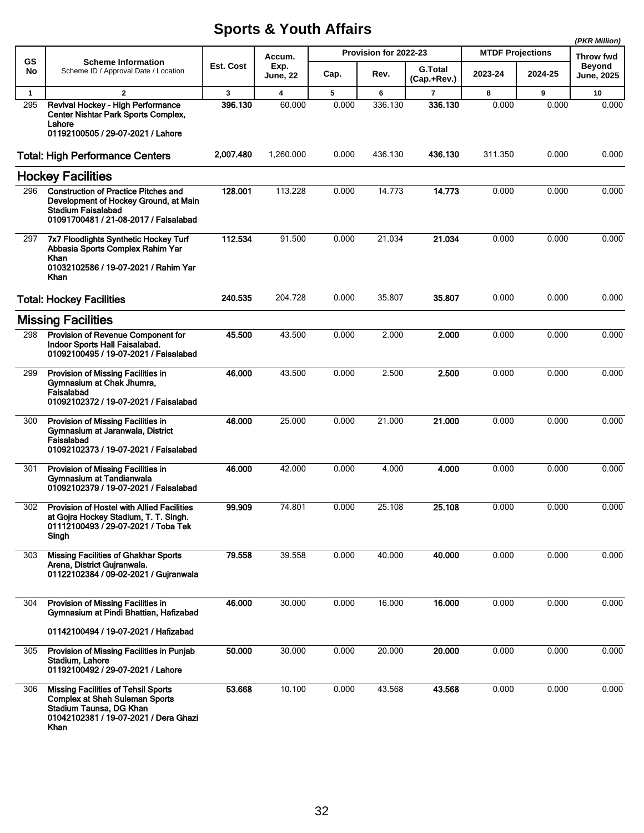|              |                                                                                                                                                                 |           |                  |       |                       |                               |                         |         | (PKR Million)                      |
|--------------|-----------------------------------------------------------------------------------------------------------------------------------------------------------------|-----------|------------------|-------|-----------------------|-------------------------------|-------------------------|---------|------------------------------------|
| GS           | <b>Scheme Information</b>                                                                                                                                       |           | Accum.           |       | Provision for 2022-23 |                               | <b>MTDF Projections</b> |         | Throw fwd                          |
| No           | Scheme ID / Approval Date / Location                                                                                                                            | Est. Cost | Exp.<br>June, 22 | Cap.  | Rev.                  | <b>G.Total</b><br>(Cap.+Rev.) | 2023-24                 | 2024-25 | <b>Beyond</b><br><b>June, 2025</b> |
| $\mathbf{1}$ | $\mathbf{2}$                                                                                                                                                    | 3         | 4                | 5     | 6                     | $\overline{7}$                | 8                       | 9       | 10                                 |
| 295          | Revival Hockey - High Performance<br><b>Center Nishtar Park Sports Complex.</b><br>Lahore<br>01192100505 / 29-07-2021 / Lahore                                  | 396.130   | 60.000           | 0.000 | 336.130               | 336.130                       | 0.000                   | 0.000   | 0.000                              |
|              | <b>Total: High Performance Centers</b>                                                                                                                          | 2,007.480 | 1.260.000        | 0.000 | 436.130               | 436.130                       | 311.350                 | 0.000   | 0.000                              |
|              | <b>Hockey Facilities</b>                                                                                                                                        |           |                  |       |                       |                               |                         |         |                                    |
| 296          | <b>Construction of Practice Pitches and</b><br>Development of Hockey Ground, at Main<br><b>Stadium Faisalabad</b><br>01091700481 / 21-08-2017 / Faisalabad      | 128.001   | 113.228          | 0.000 | 14.773                | 14.773                        | 0.000                   | 0.000   | 0.000                              |
| 297          | 7x7 Floodlights Synthetic Hockey Turf<br>Abbasia Sports Complex Rahim Yar<br><b>Khan</b><br>01032102586 / 19-07-2021 / Rahim Yar<br>Khan                        | 112.534   | 91.500           | 0.000 | 21.034                | 21.034                        | 0.000                   | 0.000   | 0.000                              |
|              | <b>Total: Hockey Facilities</b>                                                                                                                                 | 240.535   | 204.728          | 0.000 | 35.807                | 35.807                        | 0.000                   | 0.000   | 0.000                              |
|              | <b>Missing Facilities</b>                                                                                                                                       |           |                  |       |                       |                               |                         |         |                                    |
| 298          | Provision of Revenue Component for<br>Indoor Sports Hall Faisalabad.<br>01092100495 / 19-07-2021 / Faisalabad                                                   | 45.500    | 43.500           | 0.000 | 2.000                 | 2.000                         | 0.000                   | 0.000   | 0.000                              |
| 299          | Provision of Missing Facilities in<br>Gymnasium at Chak Jhumra,<br>Faisalabad<br>01092102372 / 19-07-2021 / Faisalabad                                          | 46.000    | 43.500           | 0.000 | 2.500                 | 2.500                         | 0.000                   | 0.000   | 0.000                              |
| 300          | Provision of Missing Facilities in<br>Gymnasium at Jaranwala, District<br>Faisalabad<br>01092102373 / 19-07-2021 / Faisalabad                                   | 46.000    | 25.000           | 0.000 | 21.000                | 21.000                        | 0.000                   | 0.000   | 0.000                              |
| 301          | Provision of Missing Facilities in<br>Gymnasium at Tandianwala<br>01092102379 / 19-07-2021 / Faisalabad                                                         | 46.000    | 42.000           | 0.000 | 4.000                 | 4.000                         | 0.000                   | 0.000   | 0.000                              |
| 302          | Provision of Hostel with Allied Facilities<br>at Gojra Hockey Stadium, T. T. Singh.<br>01112100493 / 29-07-2021 / Toba Tek<br>Singh                             | 99.909    | 74.801           | 0.000 | 25.108                | 25.108                        | 0.000                   | 0.000   | 0.000                              |
| 303          | <b>Missing Facilities of Ghakhar Sports</b><br>Arena, District Gujranwala.<br>01122102384 / 09-02-2021 / Gujranwala                                             | 79.558    | 39.558           | 0.000 | 40.000                | 40.000                        | 0.000                   | 0.000   | 0.000                              |
| 304          | Provision of Missing Facilities in<br>Gymnasium at Pindi Bhattian, Hafizabad                                                                                    | 46.000    | 30.000           | 0.000 | 16.000                | 16.000                        | 0.000                   | 0.000   | 0.000                              |
|              | 01142100494 / 19-07-2021 / Hafizabad                                                                                                                            |           |                  |       |                       |                               |                         |         |                                    |
| 305          | Provision of Missing Facilities in Punjab<br>Stadium, Lahore<br>01192100492 / 29-07-2021 / Lahore                                                               | 50.000    | 30.000           | 0.000 | 20.000                | 20.000                        | 0.000                   | 0.000   | 0.000                              |
| 306          | <b>Missing Facilities of Tehsil Sports</b><br><b>Complex at Shah Suleman Sports</b><br>Stadium Taunsa, DG Khan<br>01042102381 / 19-07-2021 / Dera Ghazi<br>Khan | 53.668    | 10.100           | 0.000 | 43.568                | 43.568                        | 0.000                   | 0.000   | 0.000                              |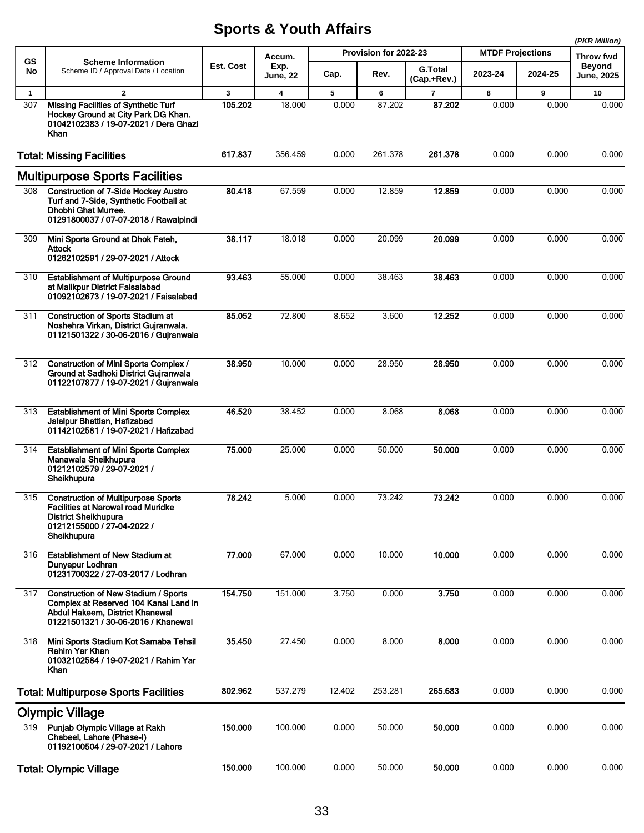|              |                                                                                                                                                                     |           |                         |        |                       |                               |                         |         | (PKR Million)               |
|--------------|---------------------------------------------------------------------------------------------------------------------------------------------------------------------|-----------|-------------------------|--------|-----------------------|-------------------------------|-------------------------|---------|-----------------------------|
| GS           | <b>Scheme Information</b>                                                                                                                                           |           | Accum.                  |        | Provision for 2022-23 |                               | <b>MTDF Projections</b> |         | <b>Throw fwd</b>            |
| No           | Scheme ID / Approval Date / Location                                                                                                                                | Est. Cost | Exp.<br><b>June, 22</b> | Cap.   | Rev.                  | <b>G.Total</b><br>(Cap.+Rev.) | 2023-24                 | 2024-25 | <b>Beyond</b><br>June, 2025 |
| $\mathbf{1}$ | $\overline{2}$                                                                                                                                                      | 3         | $\overline{4}$          | 5      | 6                     | $\overline{7}$                | 8                       | 9       | 10                          |
| 307          | <b>Missing Facilities of Synthetic Turf</b><br>Hockey Ground at City Park DG Khan.<br>01042102383 / 19-07-2021 / Dera Ghazi<br>Khan                                 | 105.202   | 18.000                  | 0.000  | 87.202                | 87.202                        | 0.000                   | 0.000   | 0.000                       |
|              | <b>Total: Missing Facilities</b>                                                                                                                                    | 617.837   | 356.459                 | 0.000  | 261.378               | 261.378                       | 0.000                   | 0.000   | 0.000                       |
|              | <b>Multipurpose Sports Facilities</b>                                                                                                                               |           |                         |        |                       |                               |                         |         |                             |
| 308          | <b>Construction of 7-Side Hockey Austro</b><br>Turf and 7-Side, Synthetic Football at<br>Dhobhi Ghat Murree.<br>01291800037 / 07-07-2018 / Rawalpindi               | 80.418    | 67.559                  | 0.000  | 12.859                | 12.859                        | 0.000                   | 0.000   | 0.000                       |
| 309          | Mini Sports Ground at Dhok Fateh,<br><b>Attock</b><br>01262102591 / 29-07-2021 / Attock                                                                             | 38.117    | 18.018                  | 0.000  | 20.099                | 20.099                        | 0.000                   | 0.000   | 0.000                       |
| 310          | <b>Establishment of Multipurpose Ground</b><br>at Malikpur District Faisalabad<br>01092102673 / 19-07-2021 / Faisalabad                                             | 93.463    | 55.000                  | 0.000  | 38.463                | 38.463                        | 0.000                   | 0.000   | 0.000                       |
| 311          | <b>Construction of Sports Stadium at</b><br>Noshehra Virkan, District Gujranwala.<br>01121501322 / 30-06-2016 / Gujranwala                                          | 85.052    | 72.800                  | 8.652  | 3.600                 | 12.252                        | 0.000                   | 0.000   | 0.000                       |
| 312          | <b>Construction of Mini Sports Complex /</b><br>Ground at Sadhoki District Gujranwala<br>01122107877 / 19-07-2021 / Gujranwala                                      | 38.950    | 10.000                  | 0.000  | 28.950                | 28.950                        | 0.000                   | 0.000   | 0.000                       |
| 313          | <b>Establishment of Mini Sports Complex</b><br>Jalalpur Bhattian, Hafizabad<br>01142102581 / 19-07-2021 / Hafizabad                                                 | 46.520    | 38.452                  | 0.000  | 8.068                 | 8.068                         | 0.000                   | 0.000   | 0.000                       |
| 314          | <b>Establishment of Mini Sports Complex</b><br>Manawala Sheikhupura<br>01212102579 / 29-07-2021 /<br>Sheikhupura                                                    | 75.000    | 25.000                  | 0.000  | 50.000                | 50,000                        | 0.000                   | 0.000   | 0.000                       |
| 315          | <b>Construction of Multipurpose Sports</b><br><b>Facilities at Narowal road Muridke</b><br><b>District Sheikhupura</b><br>01212155000 / 27-04-2022 /<br>Sheikhupura | 78.242    | 5.000                   | 0.000  | 73.242                | 73.242                        | 0.000                   | 0.000   | 0.000                       |
| 316          | <b>Establishment of New Stadium at</b><br>Dunyapur Lodhran<br>01231700322 / 27-03-2017 / Lodhran                                                                    | 77.000    | 67.000                  | 0.000  | 10.000                | 10.000                        | 0.000                   | 0.000   | 0.000                       |
| 317          | <b>Construction of New Stadium / Sports</b><br>Complex at Reserved 104 Kanal Land in<br>Abdul Hakeem, District Khanewal<br>01221501321 / 30-06-2016 / Khanewal      | 154.750   | 151.000                 | 3.750  | 0.000                 | 3.750                         | 0.000                   | 0.000   | 0.000                       |
| 318          | Mini Sports Stadium Kot Samaba Tehsil<br>Rahim Yar Khan<br>01032102584 / 19-07-2021 / Rahim Yar<br>Khan                                                             | 35.450    | 27.450                  | 0.000  | 8.000                 | 8.000                         | 0.000                   | 0.000   | 0.000                       |
|              | <b>Total: Multipurpose Sports Facilities</b>                                                                                                                        | 802.962   | 537.279                 | 12.402 | 253.281               | 265.683                       | 0.000                   | 0.000   | 0.000                       |
|              | <b>Olympic Village</b>                                                                                                                                              |           |                         |        |                       |                               |                         |         |                             |
| 319          | Punjab Olympic Village at Rakh<br>Chabeel, Lahore (Phase-I)<br>01192100504 / 29-07-2021 / Lahore                                                                    | 150.000   | 100.000                 | 0.000  | 50.000                | 50.000                        | 0.000                   | 0.000   | 0.000                       |
|              | <b>Total: Olympic Village</b>                                                                                                                                       | 150.000   | 100.000                 | 0.000  | 50.000                | 50.000                        | 0.000                   | 0.000   | 0.000                       |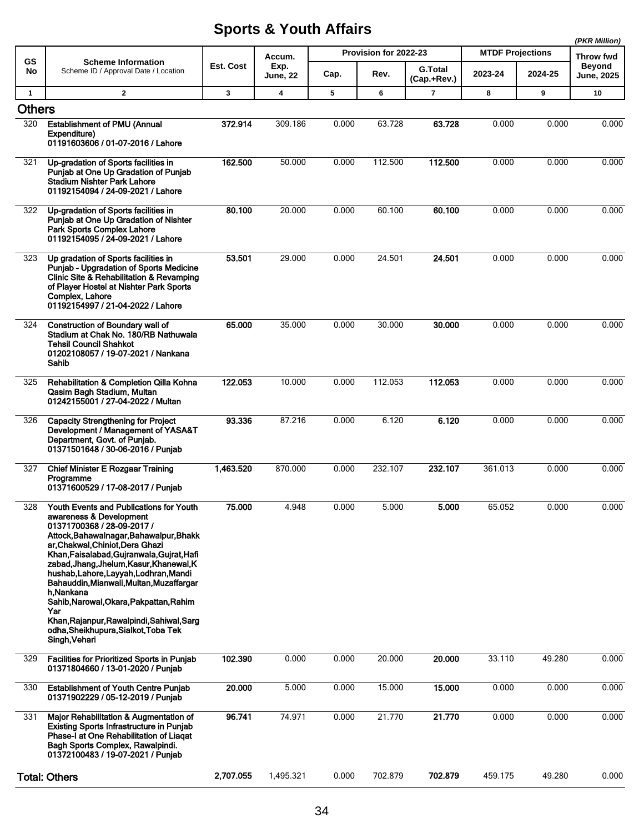|               |                                                                                                                                                                                                                                                                                                                                                                                                                                                                                                                                      |              |                         |       |                       |                               |                         |         | (PKR Million)                      |
|---------------|--------------------------------------------------------------------------------------------------------------------------------------------------------------------------------------------------------------------------------------------------------------------------------------------------------------------------------------------------------------------------------------------------------------------------------------------------------------------------------------------------------------------------------------|--------------|-------------------------|-------|-----------------------|-------------------------------|-------------------------|---------|------------------------------------|
| GS            | <b>Scheme Information</b>                                                                                                                                                                                                                                                                                                                                                                                                                                                                                                            |              | Accum.                  |       | Provision for 2022-23 |                               | <b>MTDF Projections</b> |         | Throw fwd                          |
| No            | Scheme ID / Approval Date / Location                                                                                                                                                                                                                                                                                                                                                                                                                                                                                                 | Est. Cost    | Exp.<br><b>June, 22</b> | Cap.  | Rev.                  | <b>G.Total</b><br>(Cap.+Rev.) | 2023-24                 | 2024-25 | <b>Beyond</b><br><b>June, 2025</b> |
| $\mathbf{1}$  | $\overline{2}$                                                                                                                                                                                                                                                                                                                                                                                                                                                                                                                       | $\mathbf{3}$ | 4                       | 5     | 6                     | 7                             | 8                       | 9       | 10                                 |
| <b>Others</b> |                                                                                                                                                                                                                                                                                                                                                                                                                                                                                                                                      |              |                         |       |                       |                               |                         |         |                                    |
| 320           | <b>Establishment of PMU (Annual</b><br>Expenditure)<br>01191603606 / 01-07-2016 / Lahore                                                                                                                                                                                                                                                                                                                                                                                                                                             | 372.914      | 309.186                 | 0.000 | 63.728                | 63.728                        | 0.000                   | 0.000   | 0.000                              |
| 321           | Up-gradation of Sports facilities in<br>Punjab at One Up Gradation of Punjab<br><b>Stadium Nishter Park Lahore</b><br>01192154094 / 24-09-2021 / Lahore                                                                                                                                                                                                                                                                                                                                                                              | 162.500      | 50.000                  | 0.000 | 112.500               | 112.500                       | 0.000                   | 0.000   | 0.000                              |
| 322           | Up-gradation of Sports facilities in<br>Punjab at One Up Gradation of Nishter<br>Park Sports Complex Lahore<br>01192154095 / 24-09-2021 / Lahore                                                                                                                                                                                                                                                                                                                                                                                     | 80.100       | 20.000                  | 0.000 | 60.100                | 60.100                        | 0.000                   | 0.000   | 0.000                              |
| 323           | Up gradation of Sports facilities in<br>Punjab - Upgradation of Sports Medicine<br>Clinic Site & Rehabilitation & Revamping<br>of Player Hostel at Nishter Park Sports<br>Complex, Lahore<br>01192154997 / 21-04-2022 / Lahore                                                                                                                                                                                                                                                                                                       | 53.501       | 29.000                  | 0.000 | 24.501                | 24.501                        | 0.000                   | 0.000   | 0.000                              |
| 324           | <b>Construction of Boundary wall of</b><br>Stadium at Chak No. 180/RB Nathuwala<br><b>Tehsil Council Shahkot</b><br>01202108057 / 19-07-2021 / Nankana<br>Sahib                                                                                                                                                                                                                                                                                                                                                                      | 65.000       | 35.000                  | 0.000 | 30.000                | 30.000                        | 0.000                   | 0.000   | 0.000                              |
| 325           | Rehabilitation & Completion Qilla Kohna<br>Qasim Bagh Stadium, Multan<br>01242155001 / 27-04-2022 / Multan                                                                                                                                                                                                                                                                                                                                                                                                                           | 122.053      | 10.000                  | 0.000 | 112.053               | 112.053                       | 0.000                   | 0.000   | 0.000                              |
| 326           | <b>Capacity Strengthening for Project</b><br>Development / Management of YASA&T<br>Department, Govt. of Punjab.<br>01371501648 / 30-06-2016 / Punjab                                                                                                                                                                                                                                                                                                                                                                                 | 93.336       | 87.216                  | 0.000 | 6.120                 | 6.120                         | 0.000                   | 0.000   | 0.000                              |
| 327           | <b>Chief Minister E Rozgaar Training</b><br>Programme<br>01371600529 / 17-08-2017 / Punjab                                                                                                                                                                                                                                                                                                                                                                                                                                           | 1,463.520    | 870.000                 | 0.000 | 232.107               | 232.107                       | 361.013                 | 0.000   | 0.000                              |
| 328           | Youth Events and Publications for Youth<br>awareness & Development<br>01371700368 / 28-09-2017 /<br>Attock, Bahawalnagar, Bahawalpur, Bhakk<br>ar, Chakwal, Chiniot, Dera Ghazi<br>Khan, Faisalabad, Gujranwala, Gujrat, Hafi<br>zabad, Jhang, Jhelum, Kasur, Khanewal, K<br>hushab, Lahore, Layyah, Lodhran, Mandi<br>Bahauddin, Mianwali, Multan, Muzaffargar<br>h.Nankana<br>Sahib, Narowal, Okara, Pakpattan, Rahim<br>Yar<br>Khan, Rajanpur, Rawalpindi, Sahiwal, Sarg<br>odha, Sheikhupura, Sialkot, Toba Tek<br>Singh, Vehari | 75.000       | 4.948                   | 0.000 | 5.000                 | 5.000                         | 65.052                  | 0.000   | 0.000                              |
| 329           | Facilities for Prioritized Sports in Punjab<br>01371804660 / 13-01-2020 / Punjab                                                                                                                                                                                                                                                                                                                                                                                                                                                     | 102.390      | 0.000                   | 0.000 | 20.000                | 20.000                        | 33.110                  | 49.280  | 0.000                              |
| 330           | <b>Establishment of Youth Centre Punjab</b><br>01371902229 / 05-12-2019 / Punjab                                                                                                                                                                                                                                                                                                                                                                                                                                                     | 20.000       | 5.000                   | 0.000 | 15.000                | 15.000                        | 0.000                   | 0.000   | 0.000                              |
| 331           | Major Rehabilitation & Augmentation of<br><b>Existing Sports Infrastructure in Punjab</b><br>Phase-I at One Rehabilitation of Liagat<br>Bagh Sports Complex, Rawalpindi.<br>01372100483 / 19-07-2021 / Punjab                                                                                                                                                                                                                                                                                                                        | 96.741       | 74.971                  | 0.000 | 21.770                | 21.770                        | 0.000                   | 0.000   | 0.000                              |
|               | <b>Total: Others</b>                                                                                                                                                                                                                                                                                                                                                                                                                                                                                                                 | 2,707.055    | 1,495.321               | 0.000 | 702.879               | 702.879                       | 459.175                 | 49.280  | 0.000                              |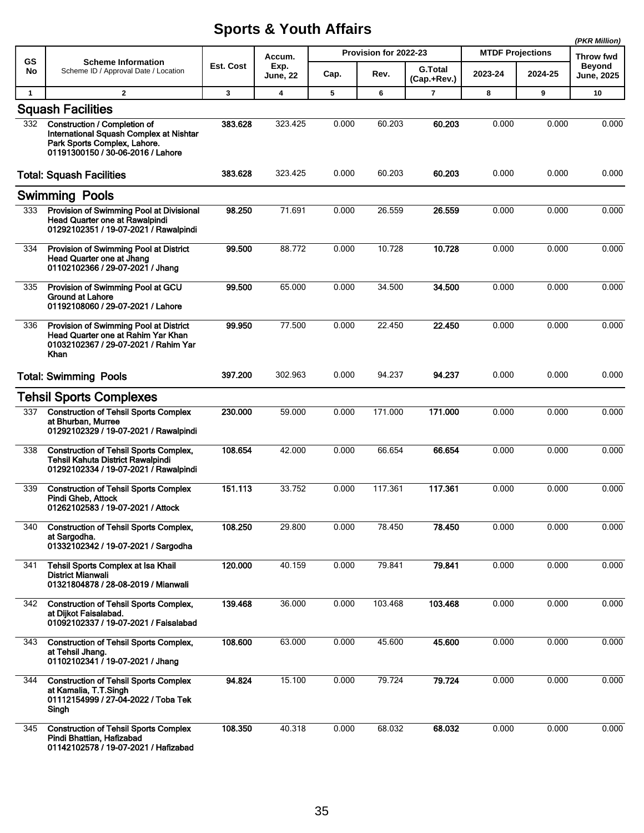|              |                                                                                                                                              |           |                         |       |                       |                               |                         |         | (PKR Million)               |
|--------------|----------------------------------------------------------------------------------------------------------------------------------------------|-----------|-------------------------|-------|-----------------------|-------------------------------|-------------------------|---------|-----------------------------|
| <b>GS</b>    | <b>Scheme Information</b>                                                                                                                    |           | Accum.                  |       | Provision for 2022-23 |                               | <b>MTDF Projections</b> |         | Throw fwd                   |
| No           | Scheme ID / Approval Date / Location                                                                                                         | Est. Cost | Exp.<br><b>June, 22</b> | Cap.  | Rev.                  | <b>G.Total</b><br>(Cap.+Rev.) | 2023-24                 | 2024-25 | Beyond<br><b>June, 2025</b> |
| $\mathbf{1}$ | $\mathbf{2}$                                                                                                                                 | 3         | 4                       | 5     | 6                     | 7                             | 8                       | 9       | 10                          |
|              | <b>Squash Facilities</b>                                                                                                                     |           |                         |       |                       |                               |                         |         |                             |
| 332          | Construction / Completion of<br>International Squash Complex at Nishtar<br>Park Sports Complex, Lahore.<br>01191300150 / 30-06-2016 / Lahore | 383.628   | 323.425                 | 0.000 | 60.203                | 60.203                        | 0.000                   | 0.000   | 0.000                       |
|              | <b>Total: Squash Facilities</b>                                                                                                              | 383.628   | 323.425                 | 0.000 | 60.203                | 60.203                        | 0.000                   | 0.000   | 0.000                       |
|              | <b>Swimming Pools</b>                                                                                                                        |           |                         |       |                       |                               |                         |         |                             |
| 333          | Provision of Swimming Pool at Divisional<br>Head Quarter one at Rawalpindi<br>01292102351 / 19-07-2021 / Rawalpindi                          | 98.250    | 71.691                  | 0.000 | 26.559                | 26.559                        | 0.000                   | 0.000   | 0.000                       |
| 334          | Provision of Swimming Pool at District<br><b>Head Quarter one at Jhang</b><br>01102102366 / 29-07-2021 / Jhang                               | 99.500    | 88.772                  | 0.000 | 10.728                | 10.728                        | 0.000                   | 0.000   | 0.000                       |
| 335          | Provision of Swimming Pool at GCU<br><b>Ground at Lahore</b><br>01192108060 / 29-07-2021 / Lahore                                            | 99.500    | 65.000                  | 0.000 | 34.500                | 34.500                        | 0.000                   | 0.000   | 0.000                       |
| 336          | Provision of Swimming Pool at District<br>Head Quarter one at Rahim Yar Khan<br>01032102367 / 29-07-2021 / Rahim Yar<br>Khan                 | 99.950    | 77.500                  | 0.000 | 22.450                | 22.450                        | 0.000                   | 0.000   | 0.000                       |
|              | <b>Total: Swimming Pools</b>                                                                                                                 | 397.200   | 302.963                 | 0.000 | 94.237                | 94.237                        | 0.000                   | 0.000   | 0.000                       |
|              | <b>Tehsil Sports Complexes</b>                                                                                                               |           |                         |       |                       |                               |                         |         |                             |
| 337          | <b>Construction of Tehsil Sports Complex</b><br>at Bhurban, Murree<br>01292102329 / 19-07-2021 / Rawalpindi                                  | 230.000   | 59.000                  | 0.000 | 171.000               | 171.000                       | 0.000                   | 0.000   | 0.000                       |
| 338          | <b>Construction of Tehsil Sports Complex,</b><br><b>Tehsil Kahuta District Rawalpindi</b><br>01292102334 / 19-07-2021 / Rawalpindi           | 108.654   | 42.000                  | 0.000 | 66.654                | 66.654                        | 0.000                   | 0.000   | 0.000                       |
| 339          | <b>Construction of Tehsil Sports Complex</b><br>Pindi Gheb, Attock<br>01262102583 / 19-07-2021 / Attock                                      | 151.113   | 33.752                  | 0.000 | 117.361               | 117.361                       | 0.000                   | 0.000   | 0.000                       |
| 340          | <b>Construction of Tehsil Sports Complex,</b><br>at Sargodha.<br>01332102342 / 19-07-2021 / Sargodha                                         | 108.250   | 29.800                  | 0.000 | 78.450                | 78.450                        | 0.000                   | 0.000   | 0.000                       |
| 341          | Tehsil Sports Complex at Isa Khail<br><b>District Mianwali</b><br>01321804878 / 28-08-2019 / Mianwali                                        | 120.000   | 40.159                  | 0.000 | 79.841                | 79.841                        | 0.000                   | 0.000   | 0.000                       |
| 342          | <b>Construction of Tehsil Sports Complex,</b><br>at Dijkot Faisalabad.<br>01092102337 / 19-07-2021 / Faisalabad                              | 139.468   | 36.000                  | 0.000 | 103.468               | 103.468                       | 0.000                   | 0.000   | 0.000                       |
| 343          | <b>Construction of Tehsil Sports Complex,</b><br>at Tehsil Jhang.<br>01102102341 / 19-07-2021 / Jhang                                        | 108.600   | 63.000                  | 0.000 | 45.600                | 45.600                        | 0.000                   | 0.000   | 0.000                       |
| 344          | <b>Construction of Tehsil Sports Complex</b><br>at Kamalia, T.T.Singh<br>01112154999 / 27-04-2022 / Toba Tek<br>Singh                        | 94.824    | 15.100                  | 0.000 | 79.724                | 79.724                        | 0.000                   | 0.000   | 0.000                       |
| 345          | <b>Construction of Tehsil Sports Complex</b><br>Pindi Bhattian, Hafizabad<br>01142102578 / 19-07-2021 / Hafizabad                            | 108.350   | 40.318                  | 0.000 | 68.032                | 68.032                        | 0.000                   | 0.000   | 0.000                       |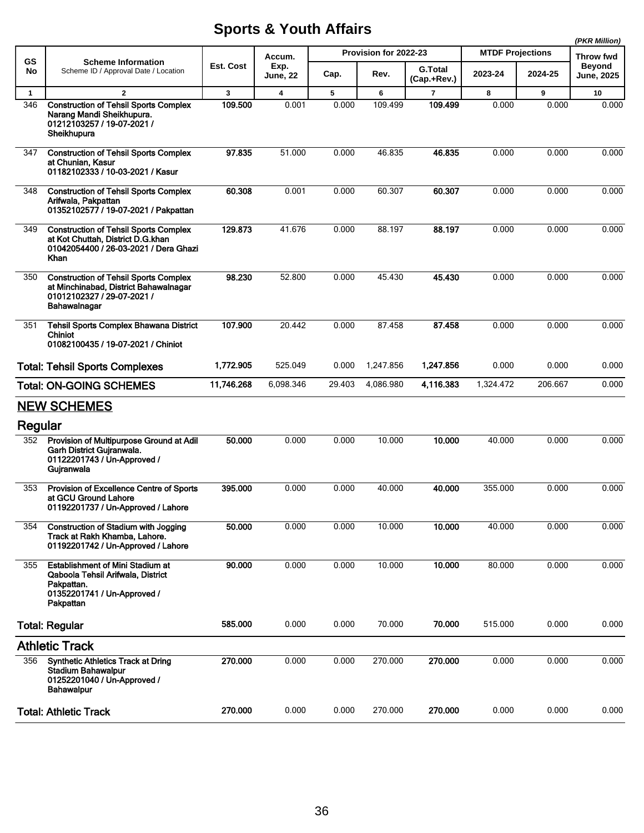|              |                                                                                                                                        |            |                         |        |                       |                               |                         |         | (PKR Million)               |
|--------------|----------------------------------------------------------------------------------------------------------------------------------------|------------|-------------------------|--------|-----------------------|-------------------------------|-------------------------|---------|-----------------------------|
| <b>GS</b>    | <b>Scheme Information</b>                                                                                                              |            | Accum.                  |        | Provision for 2022-23 |                               | <b>MTDF Projections</b> |         | Throw fwd                   |
| No           | Scheme ID / Approval Date / Location                                                                                                   | Est. Cost  | Exp.<br><b>June, 22</b> | Cap.   | Rev.                  | <b>G.Total</b><br>(Cap.+Rev.) | 2023-24                 | 2024-25 | <b>Beyond</b><br>June, 2025 |
| $\mathbf{1}$ | $\mathbf{2}$                                                                                                                           | 3          | $\overline{\mathbf{4}}$ | 5      | 6                     | $\overline{7}$                | 8                       | 9       | 10                          |
| 346          | <b>Construction of Tehsil Sports Complex</b><br>Narang Mandi Sheikhupura.<br>01212103257 / 19-07-2021 /<br>Sheikhupura                 | 109.500    | 0.001                   | 0.000  | 109.499               | 109.499                       | 0.000                   | 0.000   | 0.000                       |
| 347          | <b>Construction of Tehsil Sports Complex</b><br>at Chunian, Kasur<br>01182102333 / 10-03-2021 / Kasur                                  | 97.835     | 51.000                  | 0.000  | 46.835                | 46.835                        | 0.000                   | 0.000   | 0.000                       |
| 348          | <b>Construction of Tehsil Sports Complex</b><br>Arifwala, Pakpattan<br>01352102577 / 19-07-2021 / Pakpattan                            | 60.308     | 0.001                   | 0.000  | 60.307                | 60.307                        | 0.000                   | 0.000   | 0.000                       |
| 349          | <b>Construction of Tehsil Sports Complex</b><br>at Kot Chuttah, District D.G.khan<br>01042054400 / 26-03-2021 / Dera Ghazi<br>Khan     | 129.873    | 41.676                  | 0.000  | 88.197                | 88.197                        | 0.000                   | 0.000   | 0.000                       |
| 350          | <b>Construction of Tehsil Sports Complex</b><br>at Minchinabad, District Bahawalnagar<br>01012102327 / 29-07-2021 /<br>Bahawalnagar    | 98.230     | 52.800                  | 0.000  | 45.430                | 45.430                        | 0.000                   | 0.000   | 0.000                       |
| 351          | <b>Tehsil Sports Complex Bhawana District</b><br><b>Chiniot</b><br>01082100435 / 19-07-2021 / Chiniot                                  | 107.900    | 20.442                  | 0.000  | 87.458                | 87.458                        | 0.000                   | 0.000   | 0.000                       |
|              | <b>Total: Tehsil Sports Complexes</b>                                                                                                  | 1,772.905  | 525.049                 | 0.000  | 1,247.856             | 1,247.856                     | 0.000                   | 0.000   | 0.000                       |
|              | <b>Total: ON-GOING SCHEMES</b>                                                                                                         | 11,746.268 | 6,098.346               | 29.403 | 4,086.980             | 4,116.383                     | 1,324.472               | 206.667 | 0.000                       |
|              | <b>NEW SCHEMES</b>                                                                                                                     |            |                         |        |                       |                               |                         |         |                             |
| Regular      |                                                                                                                                        |            |                         |        |                       |                               |                         |         |                             |
| 352          | Provision of Multipurpose Ground at Adil<br>Garh District Gujranwala.<br>01122201743 / Un-Approved /<br>Gujranwala                     | 50,000     | 0.000                   | 0.000  | 10.000                | 10.000                        | 40.000                  | 0.000   | 0.000                       |
| 353          | Provision of Excellence Centre of Sports<br>at GCU Ground Lahore<br>01192201737 / Un-Approved / Lahore                                 | 395.000    | 0.000                   | 0.000  | 40.000                | 40.000                        | 355.000                 | 0.000   | 0.000                       |
| 354          | <b>Construction of Stadium with Jogging</b><br>Track at Rakh Khamba, Lahore.<br>01192201742 / Un-Approved / Lahore                     | 50.000     | 0.000                   | 0.000  | 10.000                | 10.000                        | 40.000                  | 0.000   | 0.000                       |
| 355          | <b>Establishment of Mini Stadium at</b><br>Qaboola Tehsil Arifwala, District<br>Pakpattan.<br>01352201741 / Un-Approved /<br>Pakpattan | 90.000     | 0.000                   | 0.000  | 10.000                | 10.000                        | 80.000                  | 0.000   | 0.000                       |
|              | <b>Total: Regular</b>                                                                                                                  | 585.000    | 0.000                   | 0.000  | 70.000                | 70.000                        | 515.000                 | 0.000   | 0.000                       |
|              | <b>Athletic Track</b>                                                                                                                  |            |                         |        |                       |                               |                         |         |                             |
| 356          | <b>Synthetic Athletics Track at Dring</b><br><b>Stadium Bahawalpur</b><br>01252201040 / Un-Approved /<br><b>Bahawalpur</b>             | 270.000    | 0.000                   | 0.000  | 270.000               | 270.000                       | 0.000                   | 0.000   | 0.000                       |
|              | <b>Total: Athletic Track</b>                                                                                                           | 270.000    | 0.000                   | 0.000  | 270.000               | 270.000                       | 0.000                   | 0.000   | 0.000                       |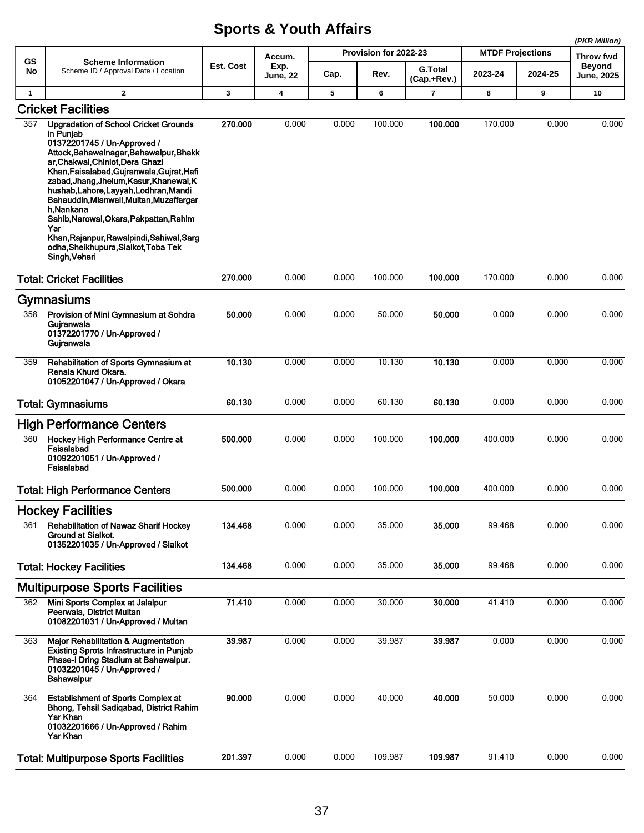|              |                                                                                                                                                                                                                                                                                                                                                                                                                                                                                                                              |              |                         |       |                       |                               |                         |         | (PKR Million)              |
|--------------|------------------------------------------------------------------------------------------------------------------------------------------------------------------------------------------------------------------------------------------------------------------------------------------------------------------------------------------------------------------------------------------------------------------------------------------------------------------------------------------------------------------------------|--------------|-------------------------|-------|-----------------------|-------------------------------|-------------------------|---------|----------------------------|
| GS           | <b>Scheme Information</b>                                                                                                                                                                                                                                                                                                                                                                                                                                                                                                    | Est. Cost    | Accum.                  |       | Provision for 2022-23 |                               | <b>MTDF Projections</b> |         | Throw fwd<br><b>Beyond</b> |
| No           | Scheme ID / Approval Date / Location                                                                                                                                                                                                                                                                                                                                                                                                                                                                                         |              | Exp.<br><b>June, 22</b> | Cap.  | Rev.                  | <b>G.Total</b><br>(Cap.+Rev.) | 2023-24                 | 2024-25 | <b>June, 2025</b>          |
| $\mathbf{1}$ | $\overline{2}$                                                                                                                                                                                                                                                                                                                                                                                                                                                                                                               | $\mathbf{3}$ | $\boldsymbol{4}$        | 5     | 6                     | 7                             | 8                       | 9       | 10                         |
|              | <b>Cricket Facilities</b>                                                                                                                                                                                                                                                                                                                                                                                                                                                                                                    |              |                         |       |                       |                               |                         |         |                            |
| 357          | <b>Upgradation of School Cricket Grounds</b><br>in Punjab<br>01372201745 / Un-Approved /<br>Attock, Bahawalnagar, Bahawalpur, Bhakk<br>ar, Chakwal, Chiniot, Dera Ghazi<br>Khan, Faisalabad, Gujranwala, Gujrat, Hafi<br>zabad, Jhang, Jhelum, Kasur, Khanewal, K<br>hushab, Lahore, Layyah, Lodhran, Mandi<br>Bahauddin, Mianwali, Multan, Muzaffargar<br>h.Nankana<br>Sahib, Narowal, Okara, Pakpattan, Rahim<br>Yar<br>Khan, Rajanpur, Rawalpindi, Sahiwal, Sarg<br>odha, Sheikhupura, Sialkot, Toba Tek<br>Singh, Vehari | 270.000      | 0.000                   | 0.000 | 100.000               | 100.000                       | 170.000                 | 0.000   | 0.000                      |
|              | <b>Total: Cricket Facilities</b>                                                                                                                                                                                                                                                                                                                                                                                                                                                                                             | 270.000      | 0.000                   | 0.000 | 100.000               | 100.000                       | 170.000                 | 0.000   | 0.000                      |
|              | Gymnasiums                                                                                                                                                                                                                                                                                                                                                                                                                                                                                                                   |              |                         |       |                       |                               |                         |         |                            |
| 358          | Provision of Mini Gymnasium at Sohdra<br>Guiranwala<br>01372201770 / Un-Approved /<br>Gujranwala                                                                                                                                                                                                                                                                                                                                                                                                                             | 50.000       | 0.000                   | 0.000 | 50.000                | 50.000                        | 0.000                   | 0.000   | 0.000                      |
| 359          | Rehabilitation of Sports Gymnasium at<br>Renala Khurd Okara.<br>01052201047 / Un-Approved / Okara                                                                                                                                                                                                                                                                                                                                                                                                                            | 10.130       | 0.000                   | 0.000 | 10.130                | 10.130                        | 0.000                   | 0.000   | 0.000                      |
|              | <b>Total: Gymnasiums</b>                                                                                                                                                                                                                                                                                                                                                                                                                                                                                                     | 60.130       | 0.000                   | 0.000 | 60.130                | 60.130                        | 0.000                   | 0.000   | 0.000                      |
|              | <b>High Performance Centers</b>                                                                                                                                                                                                                                                                                                                                                                                                                                                                                              |              |                         |       |                       |                               |                         |         |                            |
| 360          | Hockey High Performance Centre at<br>Faisalabad<br>01092201051 / Un-Approved /<br>Faisalabad                                                                                                                                                                                                                                                                                                                                                                                                                                 | 500.000      | 0.000                   | 0.000 | 100.000               | 100.000                       | 400.000                 | 0.000   | 0.000                      |
|              | <b>Total: High Performance Centers</b>                                                                                                                                                                                                                                                                                                                                                                                                                                                                                       | 500.000      | 0.000                   | 0.000 | 100.000               | 100.000                       | 400.000                 | 0.000   | 0.000                      |
|              | <b>Hockey Facilities</b>                                                                                                                                                                                                                                                                                                                                                                                                                                                                                                     |              |                         |       |                       |                               |                         |         |                            |
| 361          | <b>Rehabilitation of Nawaz Sharif Hockey</b><br>Ground at Sialkot.<br>01352201035 / Un-Approved / Sialkot                                                                                                                                                                                                                                                                                                                                                                                                                    | 134.468      | 0.000                   | 0.000 | 35.000                | 35.000                        | 99.468                  | 0.000   | 0.000                      |
|              | <b>Total: Hockey Facilities</b>                                                                                                                                                                                                                                                                                                                                                                                                                                                                                              | 134.468      | 0.000                   | 0.000 | 35.000                | 35.000                        | 99.468                  | 0.000   | 0.000                      |
|              | <b>Multipurpose Sports Facilities</b>                                                                                                                                                                                                                                                                                                                                                                                                                                                                                        |              |                         |       |                       |                               |                         |         |                            |
| 362          | Mini Sports Complex at Jalalpur<br>Peerwala, District Multan<br>01082201031 / Un-Approved / Multan                                                                                                                                                                                                                                                                                                                                                                                                                           | 71.410       | 0.000                   | 0.000 | 30.000                | 30.000                        | 41.410                  | 0.000   | 0.000                      |
| 363          | <b>Major Rehabilitation &amp; Augmentation</b><br><b>Existing Sprots Infrastructure in Punjab</b><br>Phase-I Dring Stadium at Bahawalpur.<br>01032201045 / Un-Approved /<br><b>Bahawalpur</b>                                                                                                                                                                                                                                                                                                                                | 39.987       | 0.000                   | 0.000 | 39.987                | 39.987                        | 0.000                   | 0.000   | 0.000                      |
| 364          | <b>Establishment of Sports Complex at</b><br>Bhong, Tehsil Sadiqabad, District Rahim<br><b>Yar Khan</b><br>01032201666 / Un-Approved / Rahim<br><b>Yar Khan</b>                                                                                                                                                                                                                                                                                                                                                              | 90.000       | 0.000                   | 0.000 | 40.000                | 40.000                        | 50.000                  | 0.000   | 0.000                      |
|              | <b>Total: Multipurpose Sports Facilities</b>                                                                                                                                                                                                                                                                                                                                                                                                                                                                                 | 201.397      | 0.000                   | 0.000 | 109.987               | 109.987                       | 91.410                  | 0.000   | 0.000                      |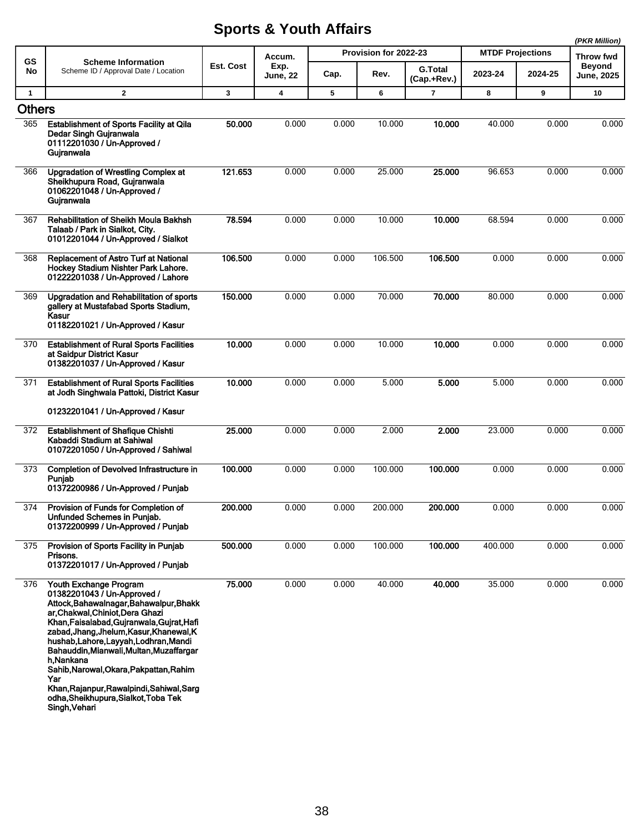|                      |                                                                                                                                                                                                                                                                                                                                                                                                                                                                                           |           |                         |       |                       |                               |                         |         | (PKR Million)               |
|----------------------|-------------------------------------------------------------------------------------------------------------------------------------------------------------------------------------------------------------------------------------------------------------------------------------------------------------------------------------------------------------------------------------------------------------------------------------------------------------------------------------------|-----------|-------------------------|-------|-----------------------|-------------------------------|-------------------------|---------|-----------------------------|
| GS                   | <b>Scheme Information</b>                                                                                                                                                                                                                                                                                                                                                                                                                                                                 |           | Accum.                  |       | Provision for 2022-23 |                               | <b>MTDF Projections</b> |         | Throw fwd                   |
| No                   | Scheme ID / Approval Date / Location                                                                                                                                                                                                                                                                                                                                                                                                                                                      | Est. Cost | Exp.<br><b>June, 22</b> | Cap.  | Rev.                  | <b>G.Total</b><br>(Cap.+Rev.) | 2023-24                 | 2024-25 | <b>Beyond</b><br>June, 2025 |
| $\mathbf{1}$         | $\mathbf{2}$                                                                                                                                                                                                                                                                                                                                                                                                                                                                              | 3         | 4                       | 5     | 6                     | $\overline{7}$                | 8                       | 9       | 10                          |
| <b>Others</b><br>365 | <b>Establishment of Sports Facility at Qila</b>                                                                                                                                                                                                                                                                                                                                                                                                                                           | 50.000    | 0.000                   | 0.000 | 10.000                | 10.000                        | 40.000                  | 0.000   | 0.000                       |
|                      | Dedar Singh Gujranwala<br>01112201030 / Un-Approved /<br>Gujranwala                                                                                                                                                                                                                                                                                                                                                                                                                       |           |                         |       |                       |                               |                         |         |                             |
| 366                  | <b>Upgradation of Wrestling Complex at</b><br>Sheikhupura Road, Gujranwala<br>01062201048 / Un-Approved /<br>Gujranwala                                                                                                                                                                                                                                                                                                                                                                   | 121.653   | 0.000                   | 0.000 | 25.000                | 25.000                        | 96.653                  | 0.000   | 0.000                       |
| 367                  | Rehabilitation of Sheikh Moula Bakhsh<br>Talaab / Park in Sialkot, City.<br>01012201044 / Un-Approved / Sialkot                                                                                                                                                                                                                                                                                                                                                                           | 78.594    | 0.000                   | 0.000 | 10.000                | 10.000                        | 68.594                  | 0.000   | 0.000                       |
| 368                  | <b>Replacement of Astro Turf at National</b><br>Hockey Stadium Nishter Park Lahore.<br>01222201038 / Un-Approved / Lahore                                                                                                                                                                                                                                                                                                                                                                 | 106.500   | 0.000                   | 0.000 | 106.500               | 106.500                       | 0.000                   | 0.000   | 0.000                       |
| 369                  | Upgradation and Rehabilitation of sports<br>gallery at Mustafabad Sports Stadium,<br>Kasur<br>01182201021 / Un-Approved / Kasur                                                                                                                                                                                                                                                                                                                                                           | 150.000   | 0.000                   | 0.000 | 70.000                | 70.000                        | 80.000                  | 0.000   | 0.000                       |
| 370                  | <b>Establishment of Rural Sports Facilities</b><br>at Saidpur District Kasur<br>01382201037 / Un-Approved / Kasur                                                                                                                                                                                                                                                                                                                                                                         | 10.000    | 0.000                   | 0.000 | 10.000                | 10.000                        | 0.000                   | 0.000   | 0.000                       |
| 371                  | <b>Establishment of Rural Sports Facilities</b><br>at Jodh Singhwala Pattoki, District Kasur<br>01232201041 / Un-Approved / Kasur                                                                                                                                                                                                                                                                                                                                                         | 10.000    | 0.000                   | 0.000 | 5.000                 | 5.000                         | 5.000                   | 0.000   | 0.000                       |
|                      |                                                                                                                                                                                                                                                                                                                                                                                                                                                                                           |           |                         |       |                       |                               |                         |         |                             |
| 372                  | <b>Establishment of Shafique Chishti</b><br>Kabaddi Stadium at Sahiwal<br>01072201050 / Un-Approved / Sahiwal                                                                                                                                                                                                                                                                                                                                                                             | 25.000    | 0.000                   | 0.000 | 2.000                 | 2.000                         | 23.000                  | 0.000   | 0.000                       |
| 373                  | Completion of Devolved Infrastructure in<br>Punjab<br>01372200986 / Un-Approved / Punjab                                                                                                                                                                                                                                                                                                                                                                                                  | 100.000   | 0.000                   | 0.000 | 100.000               | 100.000                       | 0.000                   | 0.000   | 0.000                       |
| 374                  | Provision of Funds for Completion of<br>Unfunded Schemes in Punjab.<br>01372200999 / Un-Approved / Punjab                                                                                                                                                                                                                                                                                                                                                                                 | 200.000   | 0.000                   | 0.000 | 200.000               | 200.000                       | 0.000                   | 0.000   | 0.000                       |
| 375                  | Provision of Sports Facility in Punjab<br>Prisons.<br>01372201017 / Un-Approved / Punjab                                                                                                                                                                                                                                                                                                                                                                                                  | 500.000   | 0.000                   | 0.000 | 100.000               | 100.000                       | 400.000                 | 0.000   | 0.000                       |
| 376                  | Youth Exchange Program<br>01382201043 / Un-Approved /<br>Attock, Bahawalnagar, Bahawalpur, Bhakk<br>ar, Chakwal, Chiniot, Dera Ghazi<br>Khan, Faisalabad, Gujranwala, Gujrat, Hafi<br>zabad, Jhang, Jhelum, Kasur, Khanewal, K<br>hushab, Lahore, Layyah, Lodhran, Mandi<br>Bahauddin, Mianwali, Multan, Muzaffargar<br>h.Nankana<br>Sahib, Narowal, Okara, Pakpattan, Rahim<br>Yar<br>Khan, Rajanpur, Rawalpindi, Sahiwal, Sarg<br>odha, Sheikhupura, Sialkot, Toba Tek<br>Singh, Vehari | 75.000    | 0.000                   | 0.000 | 40.000                | 40.000                        | 35.000                  | 0.000   | 0.000                       |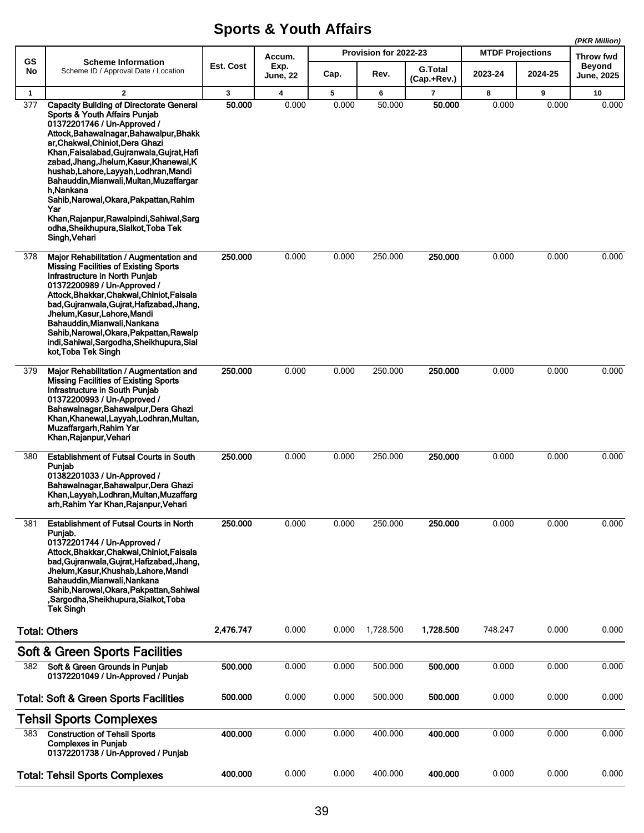|                  |                                                                                                                                                                                                                                                                                                                                                                                                                                                                                                                                                             |           |                         |       |                       |                               |                         |         | (PKR Million)                      |
|------------------|-------------------------------------------------------------------------------------------------------------------------------------------------------------------------------------------------------------------------------------------------------------------------------------------------------------------------------------------------------------------------------------------------------------------------------------------------------------------------------------------------------------------------------------------------------------|-----------|-------------------------|-------|-----------------------|-------------------------------|-------------------------|---------|------------------------------------|
| GS               | <b>Scheme Information</b>                                                                                                                                                                                                                                                                                                                                                                                                                                                                                                                                   |           | Accum.                  |       | Provision for 2022-23 |                               | <b>MTDF Projections</b> |         | Throw fwd                          |
| No               | Scheme ID / Approval Date / Location                                                                                                                                                                                                                                                                                                                                                                                                                                                                                                                        | Est. Cost | Exp.<br><b>June, 22</b> | Cap.  | Rev.                  | <b>G.Total</b><br>(Cap.+Rev.) | 2023-24                 | 2024-25 | <b>Beyond</b><br><b>June, 2025</b> |
| $\mathbf{1}$     | $\overline{2}$                                                                                                                                                                                                                                                                                                                                                                                                                                                                                                                                              | 3         | $\overline{\mathbf{4}}$ | 5     | 6                     | 7                             | 8                       | 9       | 10                                 |
| $\overline{377}$ | <b>Capacity Building of Directorate General</b><br><b>Sports &amp; Youth Affairs Punjab</b><br>01372201746 / Un-Approved /<br>Attock, Bahawalnagar, Bahawalpur, Bhakk<br>ar.Chakwal.Chiniot.Dera Ghazi<br>Khan, Faisalabad, Gujranwala, Gujrat, Hafi<br>zabad, Jhang, Jhelum, Kasur, Khanewal, K<br>hushab, Lahore, Layyah, Lodhran, Mandi<br>Bahauddin, Mianwali, Multan, Muzaffargar<br>h Nankana<br>Sahib, Narowal, Okara, Pakpattan, Rahim<br>Yar<br>Khan, Rajanpur, Rawalpindi, Sahiwal, Sarg<br>odha, Sheikhupura, Sialkot, Toba Tek<br>Singh, Vehari | 50.000    | 0.000                   | 0.000 | 50.000                | 50.000                        | 0.000                   | 0.000   | 0.000                              |
| 378              | Major Rehabilitation / Augmentation and<br><b>Missing Facilities of Existing Sports</b><br>Infrastructure in North Punjab<br>01372200989 / Un-Approved /<br>Attock, Bhakkar, Chakwal, Chiniot, Faisala<br>bad, Gujranwala, Gujrat, Hafizabad, Jhang,<br>Jhelum, Kasur, Lahore, Mandi<br>Bahauddin, Mianwali, Nankana<br>Sahib, Narowal, Okara, Pakpattan, Rawalp<br>indi, Sahiwal, Sargodha, Sheikhupura, Sial<br>kot, Toba Tek Singh                                                                                                                       | 250.000   | 0.000                   | 0.000 | 250.000               | 250.000                       | 0.000                   | 0.000   | 0.000                              |
| 379              | Major Rehabilitation / Augmentation and<br><b>Missing Facilities of Existing Sports</b><br>Infrastructure in South Punjab<br>01372200993 / Un-Approved /<br>Bahawalnagar, Bahawalpur, Dera Ghazi<br>Khan, Khanewal, Layyah, Lodhran, Multan,<br>Muzaffargarh, Rahim Yar<br>Khan, Rajanpur, Vehari                                                                                                                                                                                                                                                           | 250.000   | 0.000                   | 0.000 | 250.000               | 250.000                       | 0.000                   | 0.000   | 0.000                              |
| 380              | <b>Establishment of Futsal Courts in South</b><br>Punjab<br>01382201033 / Un-Approved /<br>Bahawalnagar, Bahawalpur, Dera Ghazi<br>Khan, Layyah, Lodhran, Multan, Muzaffarg<br>arh, Rahim Yar Khan, Rajanpur, Vehari                                                                                                                                                                                                                                                                                                                                        | 250,000   | 0.000                   | 0.000 | 250.000               | 250,000                       | 0.000                   | 0.000   | 0.000                              |
| 381              | <b>Establishment of Futsal Courts in North</b><br>Punjab.<br>01372201744 / Un-Approved /<br>Attock, Bhakkar, Chakwal, Chiniot, Faisala<br>bad, Gujranwala, Gujrat, Hafizabad, Jhang,<br>Jhelum, Kasur, Khushab, Lahore, Mandi<br>Bahauddin, Mianwali, Nankana<br>Sahib, Narowal, Okara, Pakpattan, Sahiwal<br>,Sargodha,Sheikhupura,Sialkot,Toba<br><b>Tek Singh</b>                                                                                                                                                                                        | 250.000   | 0.000                   | 0.000 | 250.000               | 250.000                       | 0.000                   | 0.000   | 0.000                              |
|                  | <b>Total: Others</b>                                                                                                                                                                                                                                                                                                                                                                                                                                                                                                                                        | 2,476.747 | 0.000                   | 0.000 | 1,728.500             | 1.728.500                     | 748.247                 | 0.000   | 0.000                              |
|                  | <b>Soft &amp; Green Sports Facilities</b>                                                                                                                                                                                                                                                                                                                                                                                                                                                                                                                   |           |                         |       |                       |                               |                         |         |                                    |
| 382              | Soft & Green Grounds in Punjab<br>01372201049 / Un-Approved / Punjab                                                                                                                                                                                                                                                                                                                                                                                                                                                                                        | 500.000   | 0.000                   | 0.000 | 500.000               | 500.000                       | 0.000                   | 0.000   | 0.000                              |
|                  | <b>Total: Soft &amp; Green Sports Facilities</b>                                                                                                                                                                                                                                                                                                                                                                                                                                                                                                            | 500.000   | 0.000                   | 0.000 | 500.000               | 500.000                       | 0.000                   | 0.000   | 0.000                              |
|                  | <b>Tehsil Sports Complexes</b>                                                                                                                                                                                                                                                                                                                                                                                                                                                                                                                              |           |                         |       |                       |                               |                         |         |                                    |
| 383              | <b>Construction of Tehsil Sports</b><br><b>Complexes in Punjab</b><br>01372201738 / Un-Approved / Punjab                                                                                                                                                                                                                                                                                                                                                                                                                                                    | 400.000   | 0.000                   | 0.000 | 400.000               | 400.000                       | 0.000                   | 0.000   | 0.000                              |
|                  | <b>Total: Tehsil Sports Complexes</b>                                                                                                                                                                                                                                                                                                                                                                                                                                                                                                                       | 400.000   | 0.000                   | 0.000 | 400.000               | 400.000                       | 0.000                   | 0.000   | 0.000                              |